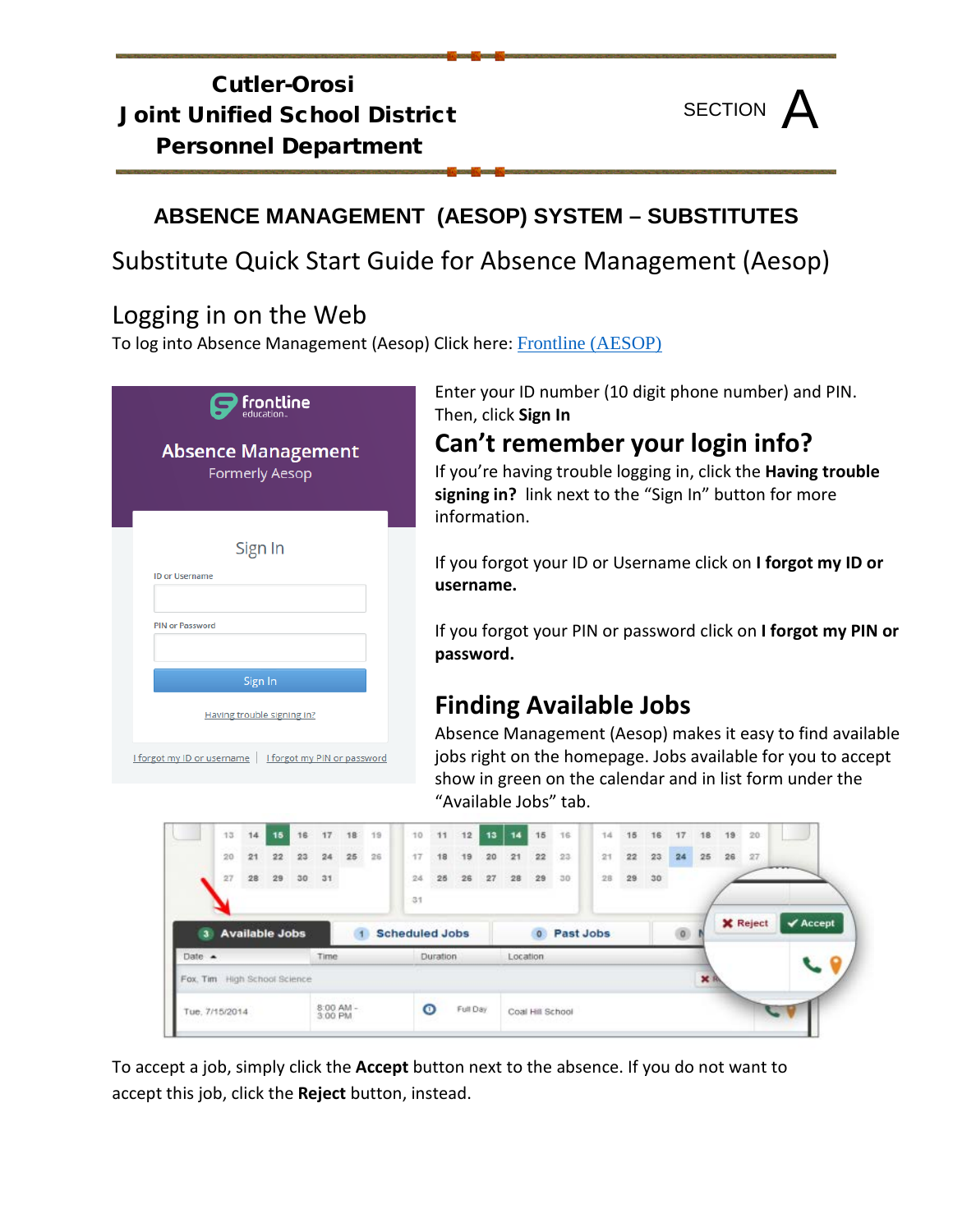### Cutler-Orosi Joint Unified School District Personnel Department



### **ABSENCE MANAGEMENT (AESOP) SYSTEM – SUBSTITUTES**

## Substitute Quick Start Guide for Absence Management (Aesop)

## Logging in on the Web

To log into Absence Management (Aesop) Click here: [Frontline \(AESOP\)](https://login.frontlineeducation.com/login?signin=7a8590c964fffe53370def8daeca976e&productId=ABSMGMT&clientId=ABSMGMT#/login)

| $\mathbf{P}$ frontline<br><b>Absence Management</b>      |
|----------------------------------------------------------|
| <b>Formerly Aesop</b>                                    |
| Sign In                                                  |
| <b>ID or Username</b>                                    |
| <b>PIN or Password</b>                                   |
| Sign In                                                  |
| Having trouble signing in?                               |
| I forgot my ID or username   I forgot my PIN or password |

Enter your ID number (10 digit phone number) and PIN. Then, click **Sign In**

## **Can't remember your login info?**

If you're having trouble logging in, click the **Having trouble signing in?** link next to the "Sign In" button for more information.

If you forgot your ID or Username click on **I forgot my ID or username.**

If you forgot your PIN or password click on **I forgot my PIN or password.**

# **Finding Available Jobs**

Absence Management (Aesop) makes it easy to find available jobs right on the homepage. Jobs available for you to accept show in green on the calendar and in list form under the "Available Jobs" tab.



To accept a job, simply click the **Accept** button next to the absence. If you do not want to accept this job, click the **Reject** button, instead.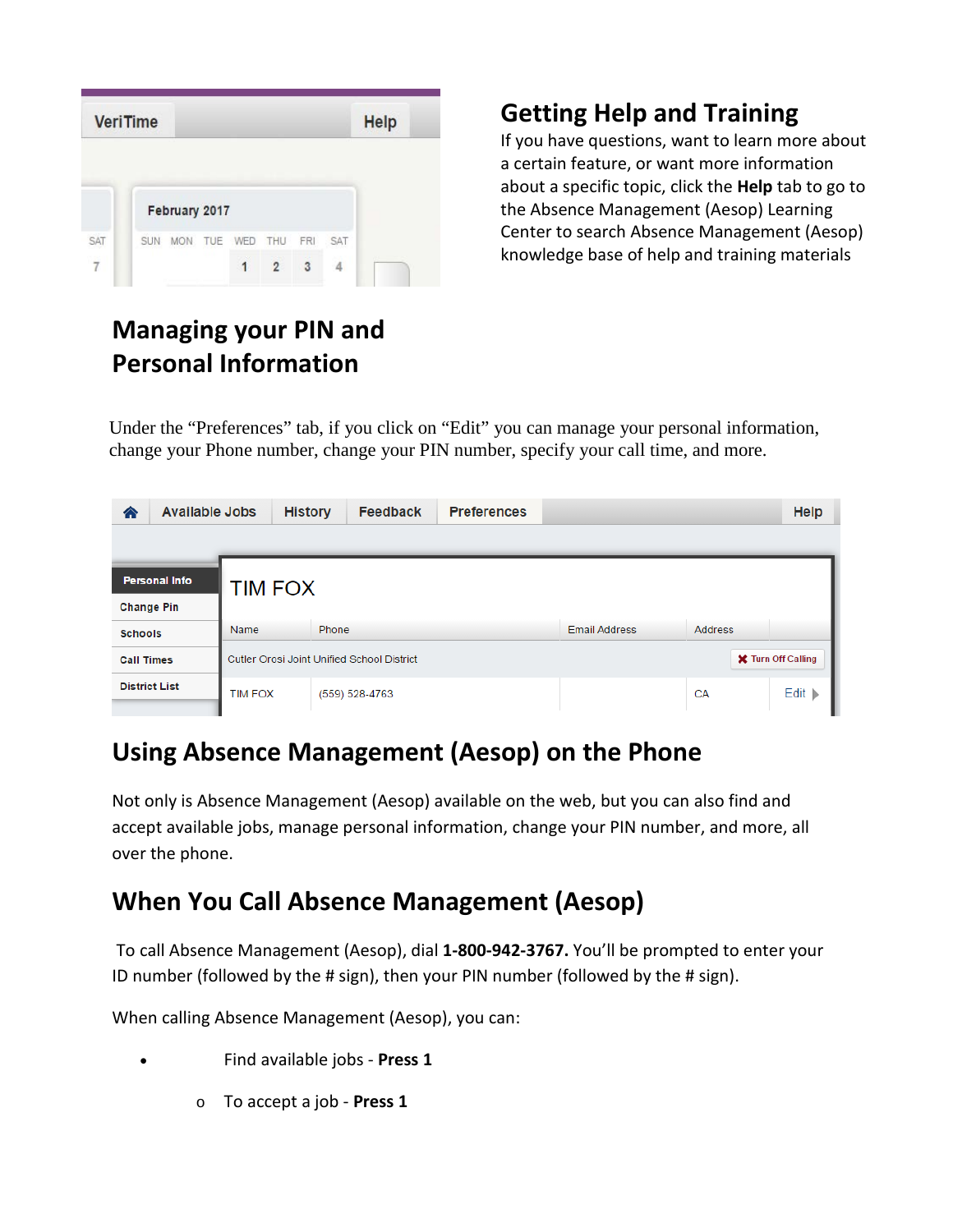|     | <b>VeriTime</b> |               |             |     |     | <b>Help</b> |
|-----|-----------------|---------------|-------------|-----|-----|-------------|
|     |                 |               |             |     |     |             |
|     |                 | February 2017 |             |     |     |             |
| SAT | SUN             | <b>MON</b>    | TUE WED THU | FRI | SAT |             |

# **Managing your PIN and Personal Information**

# **Getting Help and Training**

If you have questions, want to learn more about a certain feature, or want more information about a specific topic, click the **Help** tab to go to the Absence Management (Aesop) Learning Center to search Absence Management (Aesop) knowledge base of help and training materials

Under the "Preferences" tab, if you click on "Edit" you can manage your personal information, change your Phone number, change your PIN number, specify your call time, and more.

| <b>Available Jobs</b><br>€ | <b>History</b>                                                          | <b>Feedback</b> | <b>Preferences</b> |                      |                | Help                       |  |  |  |  |  |
|----------------------------|-------------------------------------------------------------------------|-----------------|--------------------|----------------------|----------------|----------------------------|--|--|--|--|--|
|                            |                                                                         |                 |                    |                      |                |                            |  |  |  |  |  |
| <b>Personal Info</b>       | <b>TIM FOX</b>                                                          |                 |                    |                      |                |                            |  |  |  |  |  |
| <b>Change Pin</b>          |                                                                         |                 |                    |                      |                |                            |  |  |  |  |  |
| <b>Schools</b>             | <b>Name</b>                                                             | <b>Phone</b>    |                    | <b>Email Address</b> | <b>Address</b> |                            |  |  |  |  |  |
| <b>Call Times</b>          | <b>X</b> Turn Off Calling<br>Cutler Orosi Joint Unified School District |                 |                    |                      |                |                            |  |  |  |  |  |
| <b>District List</b>       | <b>TIM FOX</b>                                                          | (559) 528-4763  |                    |                      | CA             | Edit $\blacktriangleright$ |  |  |  |  |  |

#### **Using Absence Management (Aesop) on the Phone**

Not only is Absence Management (Aesop) available on the web, but you can also find and accept available jobs, manage personal information, change your PIN number, and more, all over the phone.

## **When You Call Absence Management (Aesop)**

To call Absence Management (Aesop), dial **1-800-942-3767.** You'll be prompted to enter your ID number (followed by the # sign), then your PIN number (followed by the # sign).

When calling Absence Management (Aesop), you can:

- Find available jobs **Press 1**
	- o To accept a job **Press 1**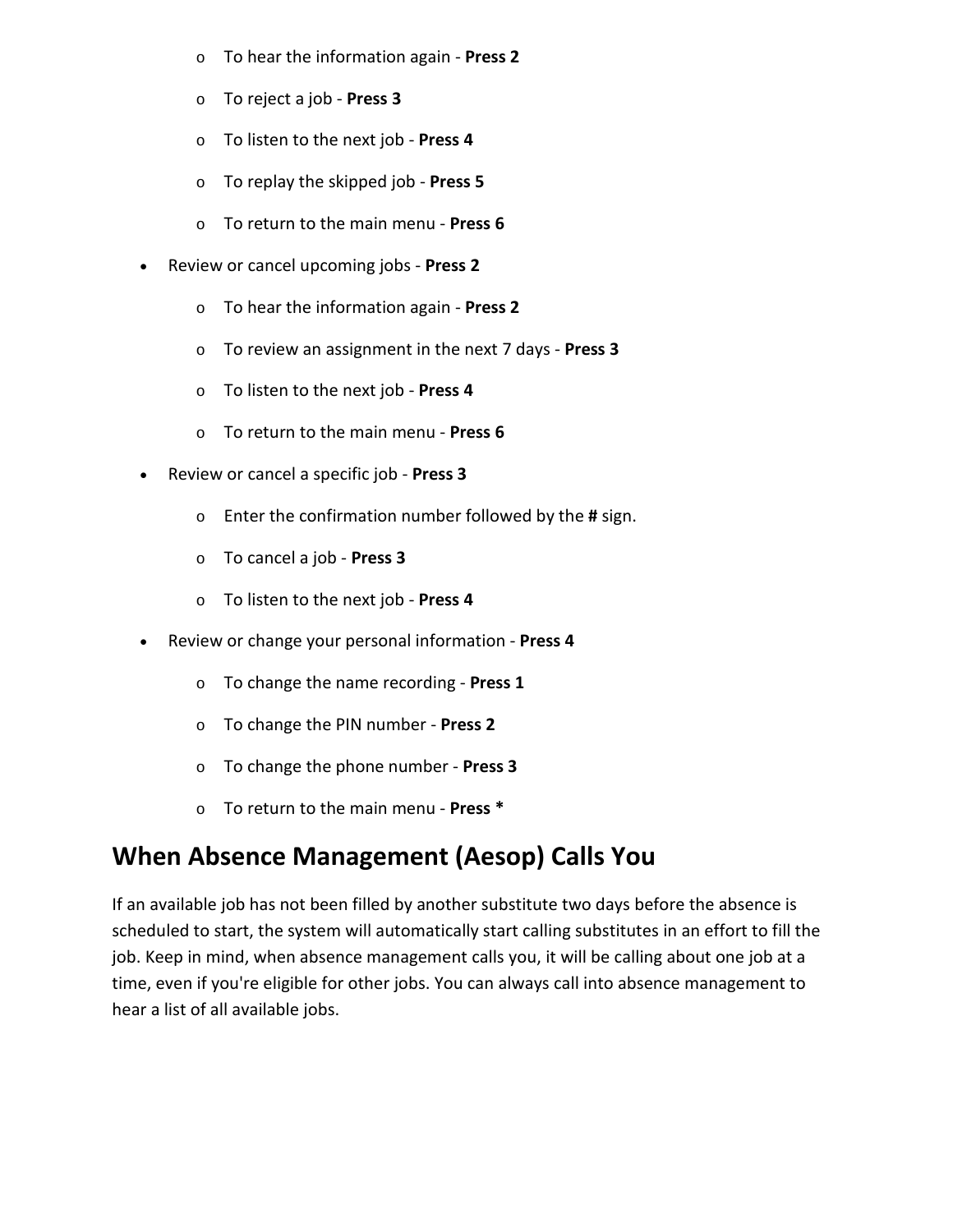- o To hear the information again **Press 2**
- o To reject a job **Press 3**
- o To listen to the next job **Press 4**
- o To replay the skipped job **Press 5**
- o To return to the main menu **Press 6**
- Review or cancel upcoming jobs **Press 2**
	- o To hear the information again **Press 2**
	- o To review an assignment in the next 7 days **Press 3**
	- o To listen to the next job **Press 4**
	- o To return to the main menu **Press 6**
- Review or cancel a specific job **Press 3**
	- o Enter the confirmation number followed by the **#** sign.
	- o To cancel a job **Press 3**
	- o To listen to the next job **Press 4**
- Review or change your personal information **Press 4**
	- o To change the name recording **Press 1**
	- o To change the PIN number **Press 2**
	- o To change the phone number **Press 3**
	- o To return to the main menu **Press \***

## **When Absence Management (Aesop) Calls You**

If an available job has not been filled by another substitute two days before the absence is scheduled to start, the system will automatically start calling substitutes in an effort to fill the job. Keep in mind, when absence management calls you, it will be calling about one job at a time, even if you're eligible for other jobs. You can always call into absence management to hear a list of all available jobs.